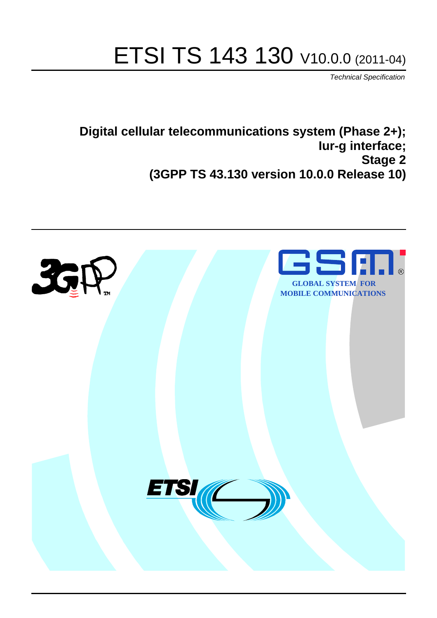# ETSI TS 143 130 V10.0.0 (2011-04)

*Technical Specification*

**Digital cellular telecommunications system (Phase 2+); Iur-g interface; Stage 2 (3GPP TS 43.130 version 10.0.0 Release 10)**

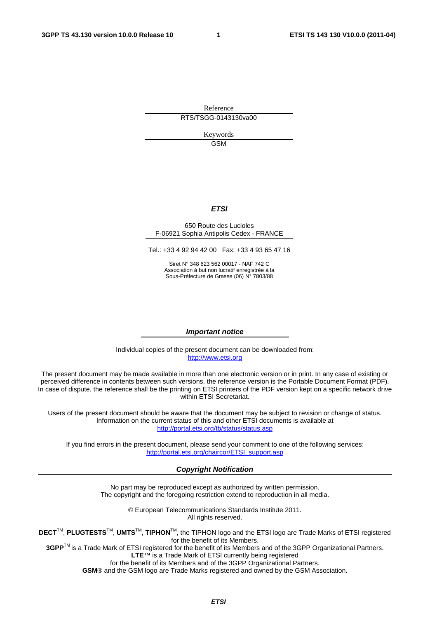Reference RTS/TSGG-0143130va00

> Keywords **GSM**

#### *ETSI*

#### 650 Route des Lucioles F-06921 Sophia Antipolis Cedex - FRANCE

Tel.: +33 4 92 94 42 00 Fax: +33 4 93 65 47 16

Siret N° 348 623 562 00017 - NAF 742 C Association à but non lucratif enregistrée à la Sous-Préfecture de Grasse (06) N° 7803/88

#### *Important notice*

Individual copies of the present document can be downloaded from: [http://www.etsi.org](http://www.etsi.org/)

The present document may be made available in more than one electronic version or in print. In any case of existing or perceived difference in contents between such versions, the reference version is the Portable Document Format (PDF). In case of dispute, the reference shall be the printing on ETSI printers of the PDF version kept on a specific network drive within ETSI Secretariat.

Users of the present document should be aware that the document may be subject to revision or change of status. Information on the current status of this and other ETSI documents is available at <http://portal.etsi.org/tb/status/status.asp>

If you find errors in the present document, please send your comment to one of the following services: [http://portal.etsi.org/chaircor/ETSI\\_support.asp](http://portal.etsi.org/chaircor/ETSI_support.asp)

#### *Copyright Notification*

No part may be reproduced except as authorized by written permission. The copyright and the foregoing restriction extend to reproduction in all media.

> © European Telecommunications Standards Institute 2011. All rights reserved.

**DECT**TM, **PLUGTESTS**TM, **UMTS**TM, **TIPHON**TM, the TIPHON logo and the ETSI logo are Trade Marks of ETSI registered for the benefit of its Members.

**3GPP**TM is a Trade Mark of ETSI registered for the benefit of its Members and of the 3GPP Organizational Partners. **LTE**™ is a Trade Mark of ETSI currently being registered

for the benefit of its Members and of the 3GPP Organizational Partners.

**GSM**® and the GSM logo are Trade Marks registered and owned by the GSM Association.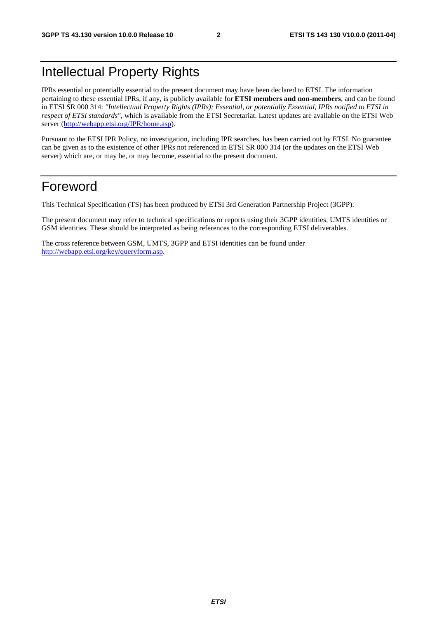# Intellectual Property Rights

IPRs essential or potentially essential to the present document may have been declared to ETSI. The information pertaining to these essential IPRs, if any, is publicly available for **ETSI members and non-members**, and can be found in ETSI SR 000 314: *"Intellectual Property Rights (IPRs); Essential, or potentially Essential, IPRs notified to ETSI in respect of ETSI standards"*, which is available from the ETSI Secretariat. Latest updates are available on the ETSI Web server [\(http://webapp.etsi.org/IPR/home.asp\)](http://webapp.etsi.org/IPR/home.asp).

Pursuant to the ETSI IPR Policy, no investigation, including IPR searches, has been carried out by ETSI. No guarantee can be given as to the existence of other IPRs not referenced in ETSI SR 000 314 (or the updates on the ETSI Web server) which are, or may be, or may become, essential to the present document.

# Foreword

This Technical Specification (TS) has been produced by ETSI 3rd Generation Partnership Project (3GPP).

The present document may refer to technical specifications or reports using their 3GPP identities, UMTS identities or GSM identities. These should be interpreted as being references to the corresponding ETSI deliverables.

The cross reference between GSM, UMTS, 3GPP and ETSI identities can be found under [http://webapp.etsi.org/key/queryform.asp.](http://webapp.etsi.org/key/queryform.asp)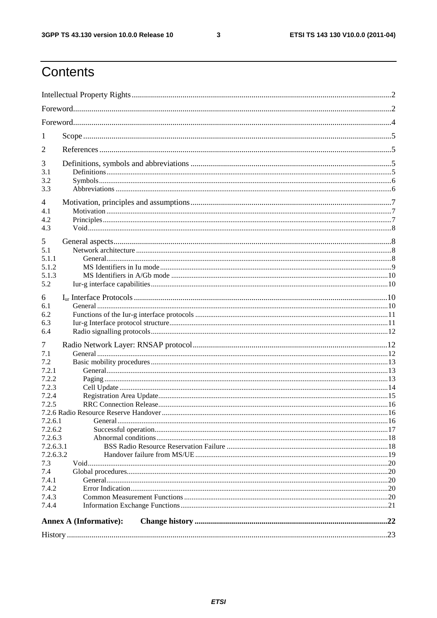$\mathbf{3}$ 

# Contents

| 1                             |  |
|-------------------------------|--|
| 2                             |  |
| 3                             |  |
| 3.1                           |  |
| 3.2                           |  |
| 3.3                           |  |
| 4                             |  |
| 4.1                           |  |
| 4.2                           |  |
| 4.3                           |  |
| 5                             |  |
| 5.1                           |  |
| 5.1.1                         |  |
| 5.1.2                         |  |
| 5.1.3                         |  |
| 5.2                           |  |
| 6                             |  |
| 6.1                           |  |
| 6.2                           |  |
| 6.3                           |  |
| 6.4                           |  |
| 7                             |  |
| 7.1                           |  |
| 7.2                           |  |
| 7.2.1                         |  |
| 7.2.2                         |  |
| 7.2.3                         |  |
| 7.2.4                         |  |
| 7.2.5                         |  |
| 7.2.6.1                       |  |
| 7.2.6.2                       |  |
| 7.2.6.3                       |  |
| 7.2.6.3.1                     |  |
| 7.2.6.3.2                     |  |
| 7.3                           |  |
| 7.4                           |  |
| 7.4.1                         |  |
| 7.4.2                         |  |
| 7.4.3                         |  |
| 7.4.4                         |  |
| <b>Annex A (Informative):</b> |  |
|                               |  |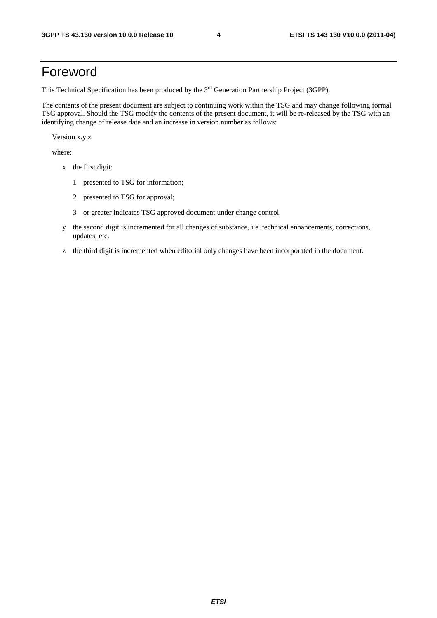# Foreword

This Technical Specification has been produced by the 3<sup>rd</sup> Generation Partnership Project (3GPP).

The contents of the present document are subject to continuing work within the TSG and may change following formal TSG approval. Should the TSG modify the contents of the present document, it will be re-released by the TSG with an identifying change of release date and an increase in version number as follows:

Version x.y.z

where:

- x the first digit:
	- 1 presented to TSG for information;
	- 2 presented to TSG for approval;
	- 3 or greater indicates TSG approved document under change control.
- y the second digit is incremented for all changes of substance, i.e. technical enhancements, corrections, updates, etc.
- z the third digit is incremented when editorial only changes have been incorporated in the document.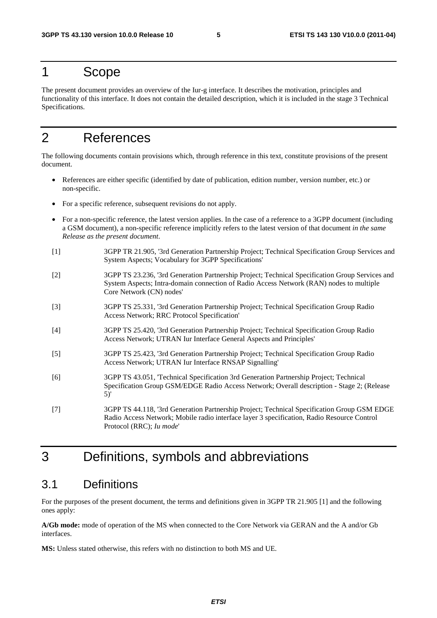### 1 Scope

The present document provides an overview of the Iur-g interface. It describes the motivation, principles and functionality of this interface. It does not contain the detailed description, which it is included in the stage 3 Technical Specifications.

# 2 References

The following documents contain provisions which, through reference in this text, constitute provisions of the present document.

- References are either specific (identified by date of publication, edition number, version number, etc.) or non-specific.
- For a specific reference, subsequent revisions do not apply.
- For a non-specific reference, the latest version applies. In the case of a reference to a 3GPP document (including a GSM document), a non-specific reference implicitly refers to the latest version of that document *in the same Release as the present document*.
- [1] 3GPP TR 21.905, '3rd Generation Partnership Project; Technical Specification Group Services and System Aspects; Vocabulary for 3GPP Specifications'
- [2] 3GPP TS 23.236, '3rd Generation Partnership Project; Technical Specification Group Services and System Aspects; Intra-domain connection of Radio Access Network (RAN) nodes to multiple Core Network (CN) nodes'
- [3] 3GPP TS 25.331, '3rd Generation Partnership Project; Technical Specification Group Radio Access Network; RRC Protocol Specification'
- [4] 3GPP TS 25.420, '3rd Generation Partnership Project; Technical Specification Group Radio Access Network; UTRAN Iur Interface General Aspects and Principles'
- [5] 3GPP TS 25.423, '3rd Generation Partnership Project; Technical Specification Group Radio Access Network; UTRAN Iur Interface RNSAP Signalling'
- [6] 3GPP TS 43.051, 'Technical Specification 3rd Generation Partnership Project; Technical Specification Group GSM/EDGE Radio Access Network; Overall description - Stage 2; (Release 5)'
- [7] 3GPP TS 44.118, '3rd Generation Partnership Project; Technical Specification Group GSM EDGE Radio Access Network; Mobile radio interface layer 3 specification, Radio Resource Control Protocol (RRC); *Iu mode*'

# 3 Definitions, symbols and abbreviations

### 3.1 Definitions

For the purposes of the present document, the terms and definitions given in 3GPP TR 21.905 [1] and the following ones apply:

**A/Gb mode:** mode of operation of the MS when connected to the Core Network via GERAN and the A and/or Gb interfaces.

**MS:** Unless stated otherwise, this refers with no distinction to both MS and UE.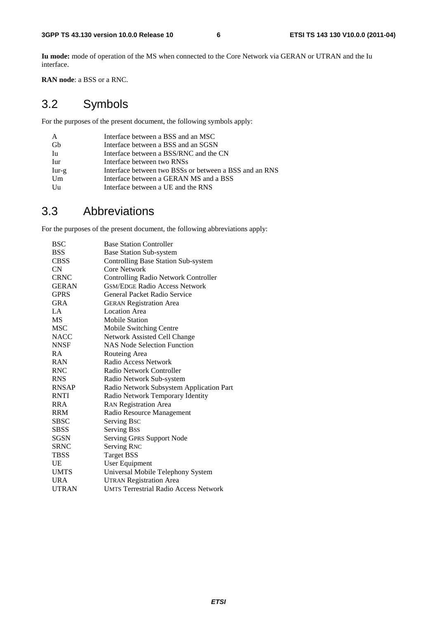**Iu mode:** mode of operation of the MS when connected to the Core Network via GERAN or UTRAN and the Iu interface.

**RAN node**: a BSS or a RNC.

# 3.2 Symbols

For the purposes of the present document, the following symbols apply:

| Interface between a BSS and an MSC                     |
|--------------------------------------------------------|
| Interface between a BSS and an SGSN                    |
| Interface between a BSS/RNC and the CN                 |
| Interface between two RNSs                             |
| Interface between two BSSs or between a BSS and an RNS |
| Interface between a GERAN MS and a BSS                 |
| Interface between a UE and the RNS                     |
|                                                        |

### 3.3 Abbreviations

For the purposes of the present document, the following abbreviations apply:

| BSC          | <b>Base Station Controller</b>               |
|--------------|----------------------------------------------|
| <b>BSS</b>   | <b>Base Station Sub-system</b>               |
| <b>CBSS</b>  | <b>Controlling Base Station Sub-system</b>   |
| CN.          | Core Network                                 |
| <b>CRNC</b>  | <b>Controlling Radio Network Controller</b>  |
| <b>GERAN</b> | <b>GSM/EDGE Radio Access Network</b>         |
| <b>GPRS</b>  | General Packet Radio Service                 |
| <b>GRA</b>   | <b>GERAN Registration Area</b>               |
| LA           | <b>Location Area</b>                         |
| <b>MS</b>    | <b>Mobile Station</b>                        |
| <b>MSC</b>   | Mobile Switching Centre                      |
| <b>NACC</b>  | Network Assisted Cell Change                 |
| <b>NNSF</b>  | <b>NAS Node Selection Function</b>           |
| <b>RA</b>    | Routeing Area                                |
| <b>RAN</b>   | Radio Access Network                         |
| <b>RNC</b>   | Radio Network Controller                     |
| <b>RNS</b>   | Radio Network Sub-system                     |
| <b>RNSAP</b> | Radio Network Subsystem Application Part     |
| <b>RNTI</b>  | Radio Network Temporary Identity             |
| <b>RRA</b>   | <b>RAN Registration Area</b>                 |
| RRM          | Radio Resource Management                    |
| <b>SBSC</b>  | Serving Bsc                                  |
| <b>SBSS</b>  | Serving Bss                                  |
| SGSN         | Serving GPRS Support Node                    |
| <b>SRNC</b>  | <b>Serving RNC</b>                           |
| <b>TBSS</b>  | <b>Target BSS</b>                            |
| UE           | <b>User Equipment</b>                        |
| <b>UMTS</b>  | Universal Mobile Telephony System            |
| <b>URA</b>   | <b>UTRAN Registration Area</b>               |
| <b>UTRAN</b> | <b>UMTS Terrestrial Radio Access Network</b> |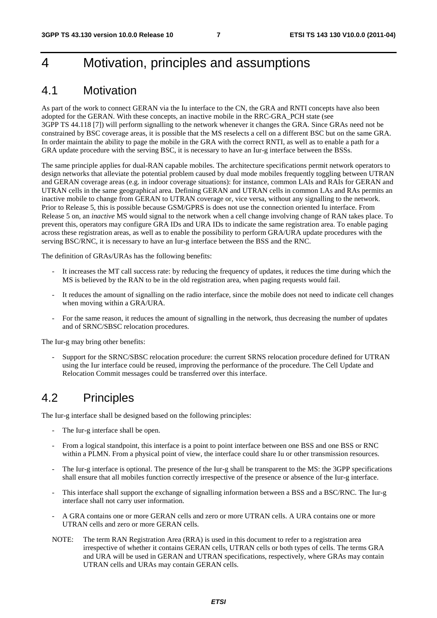# 4 Motivation, principles and assumptions

### 4.1 Motivation

As part of the work to connect GERAN via the Iu interface to the CN, the GRA and RNTI concepts have also been adopted for the GERAN. With these concepts, an inactive mobile in the RRC-GRA\_PCH state (see 3GPP TS 44.118 [7]) will perform signalling to the network whenever it changes the GRA. Since GRAs need not be constrained by BSC coverage areas, it is possible that the MS reselects a cell on a different BSC but on the same GRA. In order maintain the ability to page the mobile in the GRA with the correct RNTI, as well as to enable a path for a GRA update procedure with the serving BSC, it is necessary to have an Iur-g interface between the BSSs.

The same principle applies for dual-RAN capable mobiles. The architecture specifications permit network operators to design networks that alleviate the potential problem caused by dual mode mobiles frequently toggling between UTRAN and GERAN coverage areas (e.g. in indoor coverage situations): for instance, common LAIs and RAIs for GERAN and UTRAN cells in the same geographical area. Defining GERAN and UTRAN cells in common LAs and RAs permits an inactive mobile to change from GERAN to UTRAN coverage or, vice versa, without any signalling to the network. Prior to Release 5, this is possible because GSM/GPRS is does not use the connection oriented Iu interface. From Release 5 on, an *inactive* MS would signal to the network when a cell change involving change of RAN takes place. To prevent this, operators may configure GRA IDs and URA IDs to indicate the same registration area. To enable paging across these registration areas, as well as to enable the possibility to perform GRA/URA update procedures with the serving BSC/RNC, it is necessary to have an Iur-g interface between the BSS and the RNC.

The definition of GRAs/URAs has the following benefits:

- It increases the MT call success rate: by reducing the frequency of updates, it reduces the time during which the MS is believed by the RAN to be in the old registration area, when paging requests would fail.
- It reduces the amount of signalling on the radio interface, since the mobile does not need to indicate cell changes when moving within a GRA/URA.
- For the same reason, it reduces the amount of signalling in the network, thus decreasing the number of updates and of SRNC/SBSC relocation procedures.

The Iur-g may bring other benefits:

- Support for the SRNC/SBSC relocation procedure: the current SRNS relocation procedure defined for UTRAN using the Iur interface could be reused, improving the performance of the procedure. The Cell Update and Relocation Commit messages could be transferred over this interface.

# 4.2 Principles

The Iur-g interface shall be designed based on the following principles:

- The Iur-g interface shall be open.
- From a logical standpoint, this interface is a point to point interface between one BSS and one BSS or RNC within a PLMN. From a physical point of view, the interface could share Iu or other transmission resources.
- The Iur-g interface is optional. The presence of the Iur-g shall be transparent to the MS: the 3GPP specifications shall ensure that all mobiles function correctly irrespective of the presence or absence of the Iur-g interface.
- This interface shall support the exchange of signalling information between a BSS and a BSC/RNC. The Iur-g interface shall not carry user information.
- A GRA contains one or more GERAN cells and zero or more UTRAN cells. A URA contains one or more UTRAN cells and zero or more GERAN cells.
- NOTE: The term RAN Registration Area (RRA) is used in this document to refer to a registration area irrespective of whether it contains GERAN cells, UTRAN cells or both types of cells. The terms GRA and URA will be used in GERAN and UTRAN specifications, respectively, where GRAs may contain UTRAN cells and URAs may contain GERAN cells.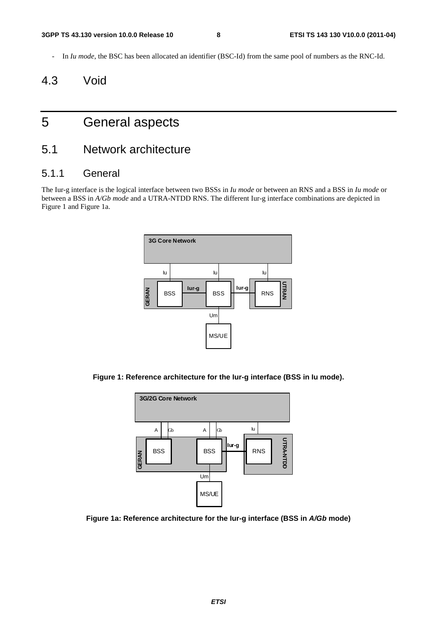- In *Iu mode*, the BSC has been allocated an identifier (BSC-Id) from the same pool of numbers as the RNC-Id.

# 4.3 Void

# 5 General aspects

### 5.1 Network architecture

#### 5.1.1 General

The Iur-g interface is the logical interface between two BSSs in *Iu mode* or between an RNS and a BSS in *Iu mode* or between a BSS in *A/Gb mode* and a UTRA-NTDD RNS. The different Iur-g interface combinations are depicted in Figure 1 and Figure 1a.



**Figure 1: Reference architecture for the Iur-g interface (BSS in Iu mode).** 



**Figure 1a: Reference architecture for the Iur-g interface (BSS in** *A/Gb* **mode)**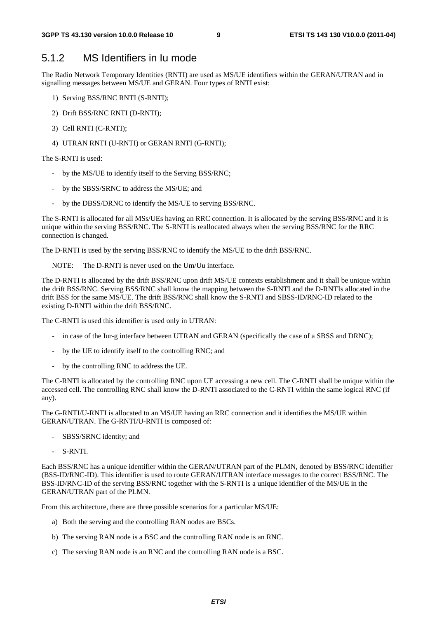#### 5.1.2 MS Identifiers in Iu mode

The Radio Network Temporary Identities (RNTI) are used as MS/UE identifiers within the GERAN/UTRAN and in signalling messages between MS/UE and GERAN. Four types of RNTI exist:

- 1) Serving BSS/RNC RNTI (S-RNTI);
- 2) Drift BSS/RNC RNTI (D-RNTI);
- 3) Cell RNTI (C-RNTI);
- 4) UTRAN RNTI (U-RNTI) or GERAN RNTI (G-RNTI);

The S-RNTI is used:

- by the MS/UE to identify itself to the Serving BSS/RNC;
- by the SBSS/SRNC to address the MS/UE; and
- by the DBSS/DRNC to identify the MS/UE to serving BSS/RNC.

The S-RNTI is allocated for all MSs/UEs having an RRC connection. It is allocated by the serving BSS/RNC and it is unique within the serving BSS/RNC. The S-RNTI is reallocated always when the serving BSS/RNC for the RRC connection is changed.

The D-RNTI is used by the serving BSS/RNC to identify the MS/UE to the drift BSS/RNC.

NOTE: The D-RNTI is never used on the Um/Uu interface.

The D-RNTI is allocated by the drift BSS/RNC upon drift MS/UE contexts establishment and it shall be unique within the drift BSS/RNC. Serving BSS/RNC shall know the mapping between the S-RNTI and the D-RNTIs allocated in the drift BSS for the same MS/UE. The drift BSS/RNC shall know the S-RNTI and SBSS-ID/RNC-ID related to the existing D-RNTI within the drift BSS/RNC.

The C-RNTI is used this identifier is used only in UTRAN:

- in case of the Iur-g interface between UTRAN and GERAN (specifically the case of a SBSS and DRNC);
- by the UE to identify itself to the controlling RNC; and
- by the controlling RNC to address the UE.

The C-RNTI is allocated by the controlling RNC upon UE accessing a new cell. The C-RNTI shall be unique within the accessed cell. The controlling RNC shall know the D-RNTI associated to the C-RNTI within the same logical RNC (if any).

The G-RNTI/U-RNTI is allocated to an MS/UE having an RRC connection and it identifies the MS/UE within GERAN/UTRAN. The G-RNTI/U-RNTI is composed of:

- SBSS/SRNC identity; and
- S-RNTI.

Each BSS/RNC has a unique identifier within the GERAN/UTRAN part of the PLMN, denoted by BSS/RNC identifier (BSS-ID/RNC-ID). This identifier is used to route GERAN/UTRAN interface messages to the correct BSS/RNC. The BSS-ID/RNC-ID of the serving BSS/RNC together with the S-RNTI is a unique identifier of the MS/UE in the GERAN/UTRAN part of the PLMN.

From this architecture, there are three possible scenarios for a particular MS/UE:

- a) Both the serving and the controlling RAN nodes are BSCs.
- b) The serving RAN node is a BSC and the controlling RAN node is an RNC.
- c) The serving RAN node is an RNC and the controlling RAN node is a BSC.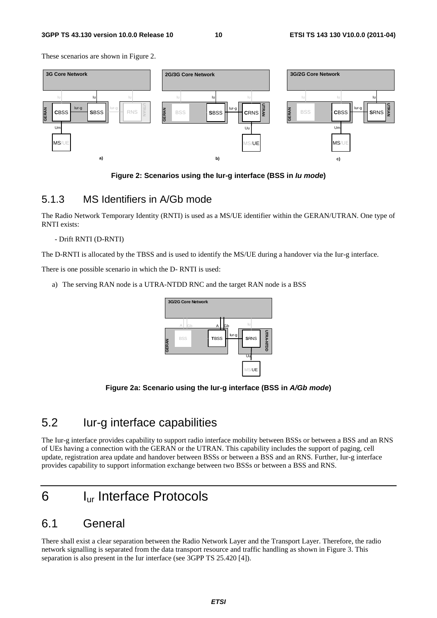These scenarios are shown in Figure 2.



**Figure 2: Scenarios using the Iur-g interface (BSS in** *Iu mode***)** 

#### 5.1.3 MS Identifiers in A/Gb mode

The Radio Network Temporary Identity (RNTI) is used as a MS/UE identifier within the GERAN/UTRAN. One type of RNTI exists:

#### - Drift RNTI (D-RNTI)

The D-RNTI is allocated by the TBSS and is used to identify the MS/UE during a handover via the Iur-g interface.

There is one possible scenario in which the D- RNTI is used:

a) The serving RAN node is a UTRA-NTDD RNC and the target RAN node is a BSS



**Figure 2a: Scenario using the Iur-g interface (BSS in** *A/Gb mode***)** 

### 5.2 Iur-g interface capabilities

The Iur-g interface provides capability to support radio interface mobility between BSSs or between a BSS and an RNS of UEs having a connection with the GERAN or the UTRAN. This capability includes the support of paging, cell update, registration area update and handover between BSSs or between a BSS and an RNS. Further, Iur-g interface provides capability to support information exchange between two BSSs or between a BSS and RNS.

# 6 Iur Interface Protocols

### 6.1 General

There shall exist a clear separation between the Radio Network Layer and the Transport Layer. Therefore, the radio network signalling is separated from the data transport resource and traffic handling as shown in Figure 3. This separation is also present in the Iur interface (see 3GPP TS 25.420 [4]).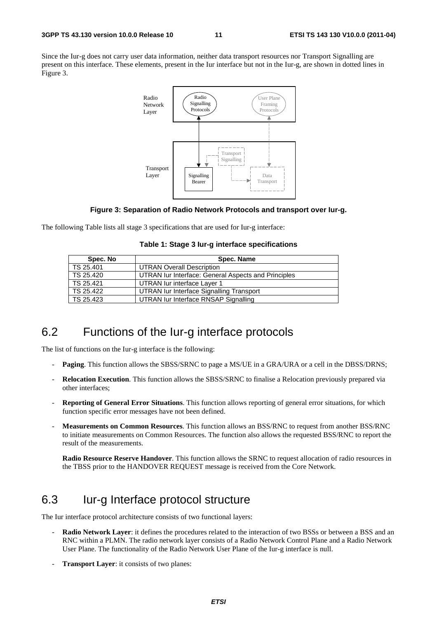Since the Iur-g does not carry user data information, neither data transport resources nor Transport Signalling are present on this interface. These elements, present in the Iur interface but not in the Iur-g, are shown in dotted lines in Figure 3.



#### **Figure 3: Separation of Radio Network Protocols and transport over Iur-g.**

The following Table lists all stage 3 specifications that are used for Iur-g interface:

|  |  |  | Table 1: Stage 3 lur-g interface specifications |
|--|--|--|-------------------------------------------------|
|--|--|--|-------------------------------------------------|

| Spec. No  | Spec. Name                                          |
|-----------|-----------------------------------------------------|
| TS 25.401 | <b>UTRAN Overall Description</b>                    |
| TS 25.420 | UTRAN Iur Interface: General Aspects and Principles |
| TS 25.421 | UTRAN lur interface Layer 1                         |
| TS 25.422 | UTRAN lur Interface Signalling Transport            |
| TS 25.423 | UTRAN lur Interface RNSAP Signalling                |

### 6.2 Functions of the Iur-g interface protocols

The list of functions on the Iur-g interface is the following:

- **Paging**. This function allows the SBSS/SRNC to page a MS/UE in a GRA/URA or a cell in the DBSS/DRNS;
- **Relocation Execution**. This function allows the SBSS/SRNC to finalise a Relocation previously prepared via other interfaces;
- **Reporting of General Error Situations**. This function allows reporting of general error situations, for which function specific error messages have not been defined.
- **Measurements on Common Resources**. This function allows an BSS/RNC to request from another BSS/RNC to initiate measurements on Common Resources. The function also allows the requested BSS/RNC to report the result of the measurements.

**Radio Resource Reserve Handover**. This function allows the SRNC to request allocation of radio resources in the TBSS prior to the HANDOVER REQUEST message is received from the Core Network.

# 6.3 Iur-g Interface protocol structure

The Iur interface protocol architecture consists of two functional layers:

- **Radio Network Layer**: it defines the procedures related to the interaction of two BSSs or between a BSS and an RNC within a PLMN. The radio network layer consists of a Radio Network Control Plane and a Radio Network User Plane. The functionality of the Radio Network User Plane of the Iur-g interface is null.
- **Transport Layer:** it consists of two planes: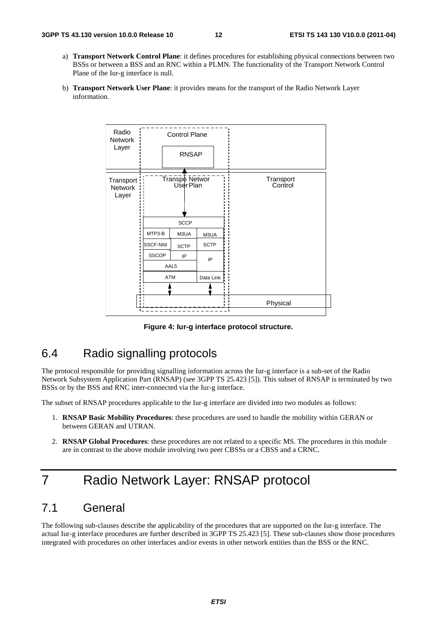- a) **Transport Network Control Plane**: it defines procedures for establishing physical connections between two BSSs or between a BSS and an RNC within a PLMN. The functionality of the Transport Network Control Plane of the Iur-g interface is null.
- b) **Transport Network User Plane**: it provides means for the transport of the Radio Network Layer information.



**Figure 4: Iur-g interface protocol structure.** 

# 6.4 Radio signalling protocols

The protocol responsible for providing signalling information across the Iur-g interface is a sub-set of the Radio Network Subsystem Application Part (RNSAP) (see 3GPP TS 25.423 [5]). This subset of RNSAP is terminated by two BSSs or by the BSS and RNC inter-connected via the Iur-g interface.

The subset of RNSAP procedures applicable to the Iur-g interface are divided into two modules as follows:

- 1. **RNSAP Basic Mobility Procedures**: these procedures are used to handle the mobility within GERAN or between GERAN and UTRAN.
- 2. **RNSAP Global Procedures**: these procedures are not related to a specific MS. The procedures in this module are in contrast to the above module involving two peer CBSSs or a CBSS and a CRNC.

# 7 Radio Network Layer: RNSAP protocol

### 7.1 General

The following sub-clauses describe the applicability of the procedures that are supported on the Iur-g interface. The actual Iur-g interface procedures are further described in 3GPP TS 25.423 [5]. These sub-clauses show those procedures integrated with procedures on other interfaces and/or events in other network entities than the BSS or the RNC.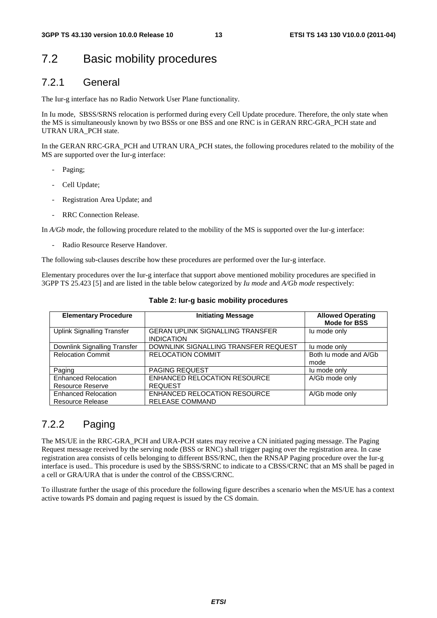### 7.2 Basic mobility procedures

#### 7.2.1 General

The Iur-g interface has no Radio Network User Plane functionality.

In Iu mode, SBSS/SRNS relocation is performed during every Cell Update procedure. Therefore, the only state when the MS is simultaneously known by two BSSs or one BSS and one RNC is in GERAN RRC-GRA\_PCH state and UTRAN URA\_PCH state.

In the GERAN RRC-GRA PCH and UTRAN URA PCH states, the following procedures related to the mobility of the MS are supported over the Iur-g interface:

- Paging;
- Cell Update;
- Registration Area Update; and
- RRC Connection Release.

In *A/Gb mode*, the following procedure related to the mobility of the MS is supported over the Iur-g interface:

Radio Resource Reserve Handover.

The following sub-clauses describe how these procedures are performed over the Iur-g interface.

Elementary procedures over the Iur-g interface that support above mentioned mobility procedures are specified in 3GPP TS 25.423 [5] and are listed in the table below categorized by *Iu mode* and *A/Gb mode* respectively:

| <b>Elementary Procedure</b>                           | <b>Initiating Message</b>                                    | <b>Allowed Operating</b><br><b>Mode for BSS</b> |
|-------------------------------------------------------|--------------------------------------------------------------|-------------------------------------------------|
| <b>Uplink Signalling Transfer</b>                     | <b>GERAN UPLINK SIGNALLING TRANSFER</b><br><b>INDICATION</b> | lu mode only                                    |
| Downlink Signalling Transfer                          | DOWNLINK SIGNALLING TRANSFER REQUEST                         | lu mode only                                    |
| <b>Relocation Commit</b>                              | <b>RELOCATION COMMIT</b>                                     | Both Ju mode and A/Gb<br>mode                   |
| Paging                                                | <b>PAGING REQUEST</b>                                        | lu mode only                                    |
| <b>Enhanced Relocation</b><br><b>Resource Reserve</b> | <b>ENHANCED RELOCATION RESOURCE</b><br><b>REQUEST</b>        | A/Gb mode only                                  |
| <b>Enhanced Relocation</b><br><b>Resource Release</b> | ENHANCED RELOCATION RESOURCE<br><b>RELEASE COMMAND</b>       | A/Gb mode only                                  |

#### **Table 2: Iur-g basic mobility procedures**

### 7.2.2 Paging

The MS/UE in the RRC-GRA\_PCH and URA-PCH states may receive a CN initiated paging message. The Paging Request message received by the serving node (BSS or RNC) shall trigger paging over the registration area. In case registration area consists of cells belonging to different BSS/RNC, then the RNSAP Paging procedure over the Iur-g interface is used.. This procedure is used by the SBSS/SRNC to indicate to a CBSS/CRNC that an MS shall be paged in a cell or GRA/URA that is under the control of the CBSS/CRNC.

To illustrate further the usage of this procedure the following figure describes a scenario when the MS/UE has a context active towards PS domain and paging request is issued by the CS domain.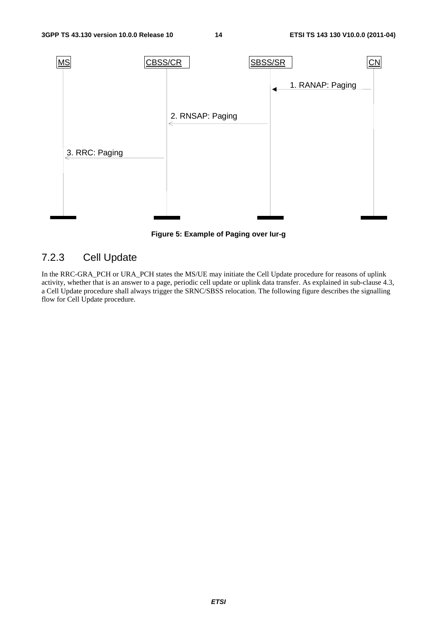

**Figure 5: Example of Paging over Iur-g** 

### 7.2.3 Cell Update

In the RRC-GRA\_PCH or URA\_PCH states the MS/UE may initiate the Cell Update procedure for reasons of uplink activity, whether that is an answer to a page, periodic cell update or uplink data transfer. As explained in sub-clause 4.3, a Cell Update procedure shall always trigger the SRNC/SBSS relocation. The following figure describes the signalling flow for Cell Update procedure.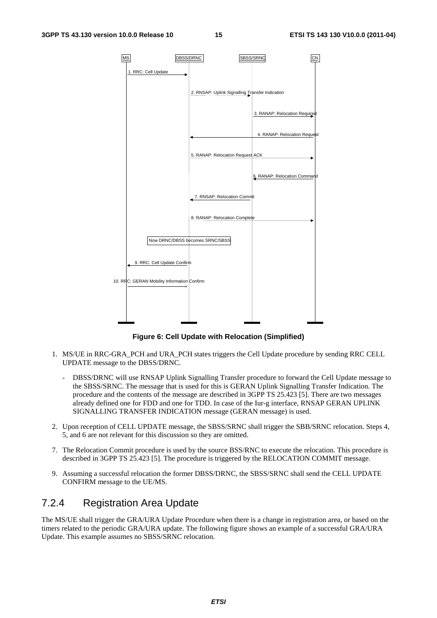

**Figure 6: Cell Update with Relocation (Simplified)** 

- 1. MS/UE in RRC-GRA\_PCH and URA\_PCH states triggers the Cell Update procedure by sending RRC CELL UPDATE message to the DBSS/DRNC.
	- DBSS/DRNC will use RNSAP Uplink Signalling Transfer procedure to forward the Cell Update message to the SBSS/SRNC. The message that is used for this is GERAN Uplink Signalling Transfer Indication. The procedure and the contents of the message are described in 3GPP TS 25.423 [5]. There are two messages already defined one for FDD and one for TDD. In case of the Iur-g interface, RNSAP GERAN UPLINK SIGNALLING TRANSFER INDICATION message (GERAN message) is used.
- 2. Upon reception of CELL UPDATE message, the SBSS/SRNC shall trigger the SBB/SRNC relocation. Steps 4, 5, and 6 are not relevant for this discussion so they are omitted.
- 7. The Relocation Commit procedure is used by the source BSS/RNC to execute the relocation. This procedure is described in 3GPP TS 25.423 [5]. The procedure is triggered by the RELOCATION COMMIT message.
- 9. Assuming a successful relocation the former DBSS/DRNC, the SBSS/SRNC shall send the CELL UPDATE CONFIRM message to the UE/MS.

#### 7.2.4 Registration Area Update

The MS/UE shall trigger the GRA/URA Update Procedure when there is a change in registration area, or based on the timers related to the periodic GRA/URA update. The following figure shows an example of a successful GRA/URA Update. This example assumes no SBSS/SRNC relocation.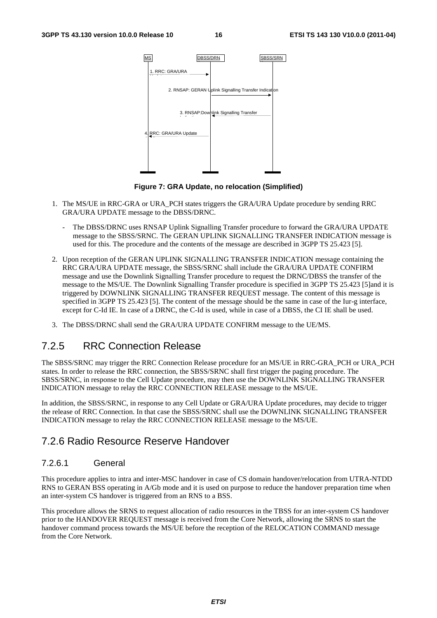

**Figure 7: GRA Update, no relocation (Simplified)** 

- 1. The MS/UE in RRC-GRA or URA\_PCH states triggers the GRA/URA Update procedure by sending RRC GRA/URA UPDATE message to the DBSS/DRNC.
	- The DBSS/DRNC uses RNSAP Uplink Signalling Transfer procedure to forward the GRA/URA UPDATE message to the SBSS/SRNC. The GERAN UPLINK SIGNALLING TRANSFER INDICATION message is used for this. The procedure and the contents of the message are described in 3GPP TS 25.423 [5].
- 2. Upon reception of the GERAN UPLINK SIGNALLING TRANSFER INDICATION message containing the RRC GRA/URA UPDATE message, the SBSS/SRNC shall include the GRA/URA UPDATE CONFIRM message and use the Downlink Signalling Transfer procedure to request the DRNC/DBSS the transfer of the message to the MS/UE. The Downlink Signalling Transfer procedure is specified in 3GPP TS 25.423 [5]and it is triggered by DOWNLINK SIGNALLING TRANSFER REQUEST message. The content of this message is specified in 3GPP TS 25.423 [5]. The content of the message should be the same in case of the Iur-g interface, except for C-Id IE. In case of a DRNC, the C-Id is used, while in case of a DBSS, the CI IE shall be used.
- 3. The DBSS/DRNC shall send the GRA/URA UPDATE CONFIRM message to the UE/MS.

#### 7.2.5 RRC Connection Release

The SBSS/SRNC may trigger the RRC Connection Release procedure for an MS/UE in RRC-GRA\_PCH or URA\_PCH states. In order to release the RRC connection, the SBSS/SRNC shall first trigger the paging procedure. The SBSS/SRNC, in response to the Cell Update procedure, may then use the DOWNLINK SIGNALLING TRANSFER INDICATION message to relay the RRC CONNECTION RELEASE message to the MS/UE.

In addition, the SBSS/SRNC, in response to any Cell Update or GRA/URA Update procedures, may decide to trigger the release of RRC Connection. In that case the SBSS/SRNC shall use the DOWNLINK SIGNALLING TRANSFER INDICATION message to relay the RRC CONNECTION RELEASE message to the MS/UE.

#### 7.2.6 Radio Resource Reserve Handover

#### 7.2.6.1 General

This procedure applies to intra and inter-MSC handover in case of CS domain handover/relocation from UTRA-NTDD RNS to GERAN BSS operating in A/Gb mode and it is used on purpose to reduce the handover preparation time when an inter-system CS handover is triggered from an RNS to a BSS.

This procedure allows the SRNS to request allocation of radio resources in the TBSS for an inter-system CS handover prior to the HANDOVER REQUEST message is received from the Core Network, allowing the SRNS to start the handover command process towards the MS/UE before the reception of the RELOCATION COMMAND message from the Core Network.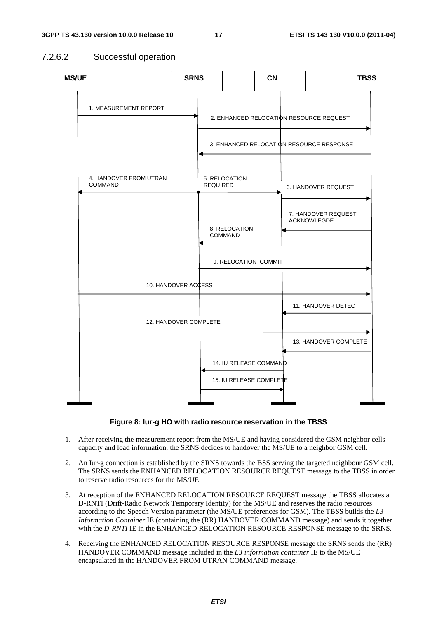#### 7.2.6.2 Successful operation





- 1. After receiving the measurement report from the MS/UE and having considered the GSM neighbor cells capacity and load information, the SRNS decides to handover the MS/UE to a neighbor GSM cell.
- 2. An Iur-g connection is established by the SRNS towards the BSS serving the targeted neighbour GSM cell. The SRNS sends the ENHANCED RELOCATION RESOURCE REQUEST message to the TBSS in order to reserve radio resources for the MS/UE.
- 3. At reception of the ENHANCED RELOCATION RESOURCE REQUEST message the TBSS allocates a D-RNTI (Drift-Radio Network Temporary Identity) for the MS/UE and reserves the radio resources according to the Speech Version parameter (the MS/UE preferences for GSM). The TBSS builds the *L3 Information Container* IE (containing the (RR) HANDOVER COMMAND message) and sends it together with the *D-RNTI* IE in the ENHANCED RELOCATION RESOURCE RESPONSE message to the SRNS.
- 4. Receiving the ENHANCED RELOCATION RESOURCE RESPONSE message the SRNS sends the (RR) HANDOVER COMMAND message included in the *L3 information container* IE to the MS/UE encapsulated in the HANDOVER FROM UTRAN COMMAND message.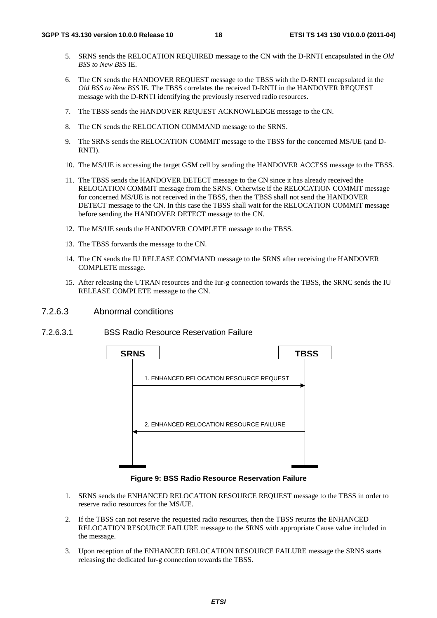- 5. SRNS sends the RELOCATION REQUIRED message to the CN with the D-RNTI encapsulated in the *Old BSS to New BSS* IE.
- 6. The CN sends the HANDOVER REQUEST message to the TBSS with the D-RNTI encapsulated in the *Old BSS to New BSS* IE. The TBSS correlates the received D-RNTI in the HANDOVER REQUEST message with the D-RNTI identifying the previously reserved radio resources.
- 7. The TBSS sends the HANDOVER REQUEST ACKNOWLEDGE message to the CN.
- 8. The CN sends the RELOCATION COMMAND message to the SRNS.
- 9. The SRNS sends the RELOCATION COMMIT message to the TBSS for the concerned MS/UE (and D-RNTI).
- 10. The MS/UE is accessing the target GSM cell by sending the HANDOVER ACCESS message to the TBSS.
- 11. The TBSS sends the HANDOVER DETECT message to the CN since it has already received the RELOCATION COMMIT message from the SRNS. Otherwise if the RELOCATION COMMIT message for concerned MS/UE is not received in the TBSS, then the TBSS shall not send the HANDOVER DETECT message to the CN. In this case the TBSS shall wait for the RELOCATION COMMIT message before sending the HANDOVER DETECT message to the CN.
- 12. The MS/UE sends the HANDOVER COMPLETE message to the TBSS.
- 13. The TBSS forwards the message to the CN.
- 14. The CN sends the IU RELEASE COMMAND message to the SRNS after receiving the HANDOVER COMPLETE message.
- 15. After releasing the UTRAN resources and the Iur-g connection towards the TBSS, the SRNC sends the IU RELEASE COMPLETE message to the CN.
- 7.2.6.3 Abnormal conditions
- 7.2.6.3.1 BSS Radio Resource Reservation Failure



**Figure 9: BSS Radio Resource Reservation Failure** 

- 1. SRNS sends the ENHANCED RELOCATION RESOURCE REQUEST message to the TBSS in order to reserve radio resources for the MS/UE.
- 2. If the TBSS can not reserve the requested radio resources, then the TBSS returns the ENHANCED RELOCATION RESOURCE FAILURE message to the SRNS with appropriate Cause value included in the message.
- 3. Upon reception of the ENHANCED RELOCATION RESOURCE FAILURE message the SRNS starts releasing the dedicated Iur-g connection towards the TBSS.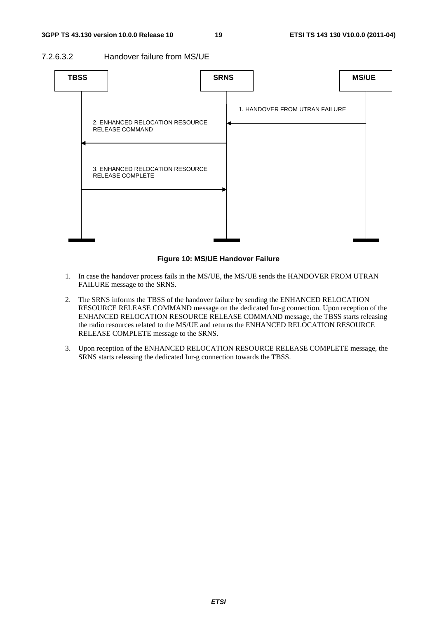7.2.6.3.2 Handover failure from MS/UE



#### **Figure 10: MS/UE Handover Failure**

- 1. In case the handover process fails in the MS/UE, the MS/UE sends the HANDOVER FROM UTRAN FAILURE message to the SRNS.
- 2. The SRNS informs the TBSS of the handover failure by sending the ENHANCED RELOCATION RESOURCE RELEASE COMMAND message on the dedicated Iur-g connection. Upon reception of the ENHANCED RELOCATION RESOURCE RELEASE COMMAND message, the TBSS starts releasing the radio resources related to the MS/UE and returns the ENHANCED RELOCATION RESOURCE RELEASE COMPLETE message to the SRNS.
- 3. Upon reception of the ENHANCED RELOCATION RESOURCE RELEASE COMPLETE message, the SRNS starts releasing the dedicated Iur-g connection towards the TBSS.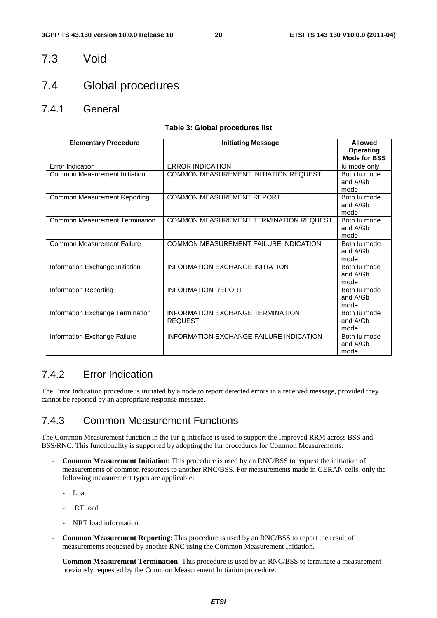#### 7.3 Void

### 7.4 Global procedures

7.4.1 General

#### **Table 3: Global procedures list**

| <b>Elementary Procedure</b>           | <b>Initiating Message</b>                     | <b>Allowed</b><br><b>Operating</b> |
|---------------------------------------|-----------------------------------------------|------------------------------------|
|                                       |                                               | <b>Mode for BSS</b>                |
| Error Indication                      | <b>ERROR INDICATION</b>                       | lu mode only                       |
| Common Measurement Initiation         | COMMON MEASUREMENT INITIATION REQUEST         | Both lu mode<br>and A/Gb           |
|                                       |                                               | mode                               |
| <b>Common Measurement Reporting</b>   | <b>COMMON MEASUREMENT REPORT</b>              | Both lu mode                       |
|                                       |                                               | and A/Gb                           |
|                                       |                                               | mode                               |
| <b>Common Measurement Termination</b> | <b>COMMON MEASUREMENT TERMINATION REQUEST</b> | Both lu mode                       |
|                                       |                                               | and A/Gb                           |
|                                       |                                               | mode                               |
| <b>Common Measurement Failure</b>     | COMMON MEASUREMENT FAILURE INDICATION         | Both lu mode                       |
|                                       |                                               | and A/Gb                           |
|                                       |                                               | mode                               |
| Information Exchange Initiation       | <b>INFORMATION EXCHANGE INITIATION</b>        | Both lu mode                       |
|                                       |                                               | and A/Gb                           |
|                                       |                                               | mode<br>Both lu mode               |
| Information Reporting                 | <b>INFORMATION REPORT</b>                     | and A/Gb                           |
|                                       |                                               | mode                               |
| Information Exchange Termination      | INFORMATION EXCHANGE TERMINATION              | Both lu mode                       |
|                                       | <b>REQUEST</b>                                | and A/Gb                           |
|                                       |                                               | mode                               |
| Information Exchange Failure          | INFORMATION EXCHANGE FAILURE INDICATION       | Both lu mode                       |
|                                       |                                               | and A/Gb                           |
|                                       |                                               | mode                               |

#### 7.4.2 Error Indication

The Error Indication procedure is initiated by a node to report detected errors in a received message, provided they cannot be reported by an appropriate response message.

#### 7.4.3 Common Measurement Functions

The Common Measurement function in the Iur-g interface is used to support the Improved RRM across BSS and BSS/RNC. This functionality is supported by adopting the Iur procedures for Common Measurements:

- **Common Measurement Initiation**: This procedure is used by an RNC/BSS to request the initiation of measurements of common resources to another RNC/BSS. For measurements made in GERAN cells, only the following measurement types are applicable:
	- Load
	- RT load
	- NRT load information
- **Common Measurement Reporting**: This procedure is used by an RNC/BSS to report the result of measurements requested by another RNC using the Common Measurement Initiation.
- **Common Measurement Termination**: This procedure is used by an RNC/BSS to terminate a measurement previously requested by the Common Measurement Initiation procedure.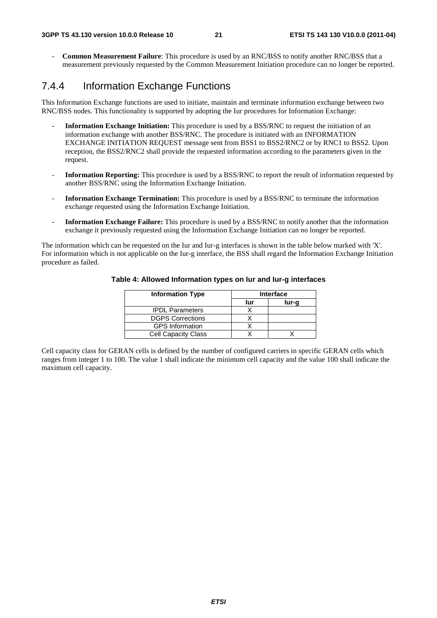- **Common Measurement Failure**: This procedure is used by an RNC/BSS to notify another RNC/BSS that a measurement previously requested by the Common Measurement Initiation procedure can no longer be reported.

#### 7.4.4 Information Exchange Functions

This Information Exchange functions are used to initiate, maintain and terminate information exchange between two RNC/BSS nodes. This functionality is supported by adopting the Iur procedures for Information Exchange:

- **Information Exchange Initiation:** This procedure is used by a BSS/RNC to request the initiation of an information exchange with another BSS/RNC. The procedure is initiated with an INFORMATION EXCHANGE INITIATION REQUEST message sent from BSS1 to BSS2/RNC2 or by RNC1 to BSS2. Upon reception, the BSS2/RNC2 shall provide the requested information according to the parameters given in the request.
- **Information Reporting:** This procedure is used by a BSS/RNC to report the result of information requested by another BSS/RNC using the Information Exchange Initiation.
- **Information Exchange Termination:** This procedure is used by a BSS/RNC to terminate the information exchange requested using the Information Exchange Initiation.
- **Information Exchange Failure:** This procedure is used by a BSS/RNC to notify another that the information exchange it previously requested using the Information Exchange Initiation can no longer be reported.

The information which can be requested on the Iur and Iur-g interfaces is shown in the table below marked with 'X'. For information which is not applicable on the Iur-g interface, the BSS shall regard the Information Exchange Initiation procedure as failed.

| <b>Information Type</b>    | <b>Interface</b> |       |  |
|----------------------------|------------------|-------|--|
|                            | lur              | lur-g |  |
| <b>IPDL Parameters</b>     |                  |       |  |
| <b>DGPS Corrections</b>    |                  |       |  |
| <b>GPS</b> Information     |                  |       |  |
| <b>Cell Capacity Class</b> |                  |       |  |

#### **Table 4: Allowed Information types on Iur and Iur-g interfaces**

Cell capacity class for GERAN cells is defined by the number of configured carriers in specific GERAN cells which ranges from integer 1 to 100. The value 1 shall indicate the minimum cell capacity and the value 100 shall indicate the maximum cell capacity.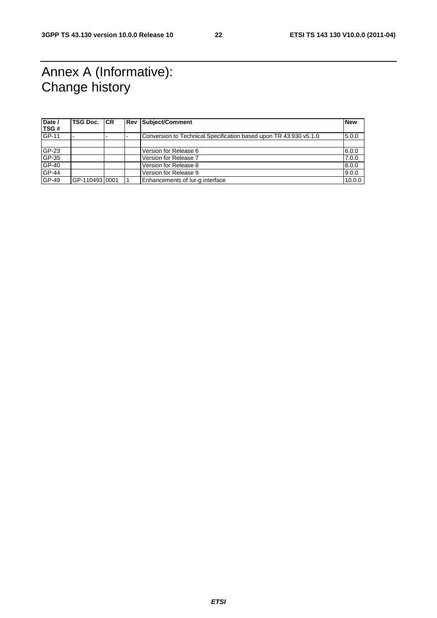# Annex A (Informative): Change history

| Date /       | <b>TSG Doc.</b> | <b>CR</b> | <b>Rev Subject/Comment</b>                                        | <b>New</b> |
|--------------|-----------------|-----------|-------------------------------------------------------------------|------------|
| <b>TSG#</b>  |                 |           |                                                                   |            |
| <b>GP-11</b> |                 |           | Conversion to Technical Specification based upon TR 43.930 v5.1.0 | 5.0.0      |
|              |                 |           |                                                                   |            |
| $GF-23$      |                 |           | Version for Release 6                                             | 6.0.0      |
| $GP-35$      |                 |           | Version for Release 7                                             | 7.0.0      |
| $GP-40$      |                 |           | Version for Release 8                                             | 8.0.0      |
| <b>GP-44</b> |                 |           | Version for Release 9                                             | 9.0.0      |
| GP-49        | IGP-11049310001 |           | Enhancements of lur-g interface                                   | 10.0.0     |